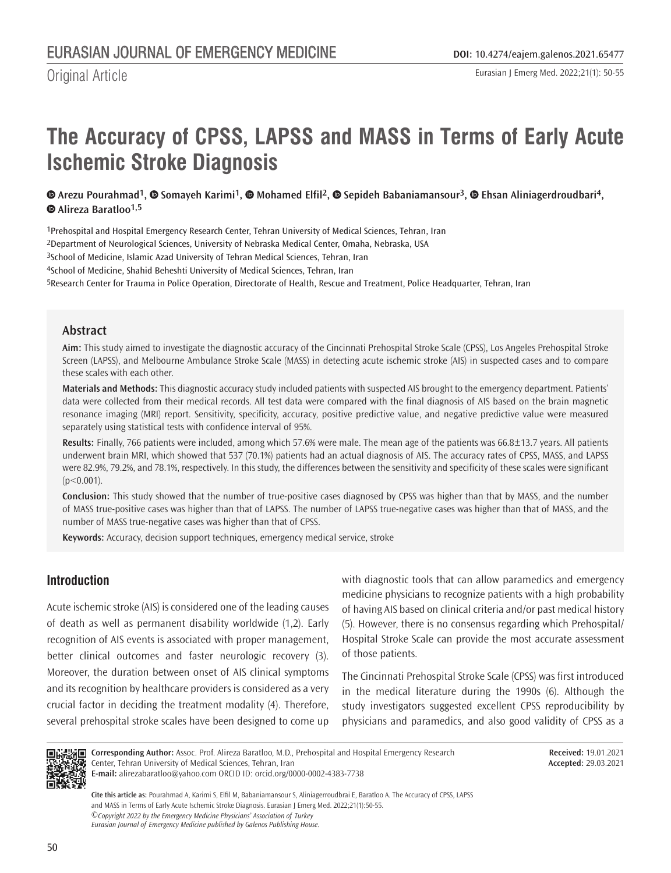# **The Accuracy of CPSS, LAPSS and MASS in Terms of Early Acute Ischemic Stroke Diagnosis**

# $\bullet$ Arezu Pourahmad<sup>1</sup>,  $\bullet$  Somayeh Karimi<sup>1</sup>,  $\bullet$  Mohamed Elfil<sup>2</sup>,  $\bullet$  Sepideh Babaniamansour<sup>3</sup>,  $\bullet$  Ehsan Aliniagerdroudbari<sup>4</sup>,  **[A](https://orcid.org/0000-0002-4383-7738)lireza Baratloo1,5**

Prehospital and Hospital Emergency Research Center, Tehran University of Medical Sciences, Tehran, Iran Department of Neurological Sciences, University of Nebraska Medical Center, Omaha, Nebraska, USA <sup>3</sup>School of Medicine, Islamic Azad University of Tehran Medical Sciences, Tehran, Iran School of Medicine, Shahid Beheshti University of Medical Sciences, Tehran, Iran Research Center for Trauma in Police Operation, Directorate of Health, Rescue and Treatment, Police Headquarter, Tehran, Iran

## **Abstract**

**Aim:** This study aimed to investigate the diagnostic accuracy of the Cincinnati Prehospital Stroke Scale (CPSS), Los Angeles Prehospital Stroke Screen (LAPSS), and Melbourne Ambulance Stroke Scale (MASS) in detecting acute ischemic stroke (AIS) in suspected cases and to compare these scales with each other.

**Materials and Methods:** This diagnostic accuracy study included patients with suspected AIS brought to the emergency department. Patients' data were collected from their medical records. All test data were compared with the final diagnosis of AIS based on the brain magnetic resonance imaging (MRI) report. Sensitivity, specificity, accuracy, positive predictive value, and negative predictive value were measured separately using statistical tests with confidence interval of 95%.

**Results:** Finally, 766 patients were included, among which 57.6% were male. The mean age of the patients was 66.8±13.7 years. All patients underwent brain MRI, which showed that 537 (70.1%) patients had an actual diagnosis of AIS. The accuracy rates of CPSS, MASS, and LAPSS were 82.9%, 79.2%, and 78.1%, respectively. In this study, the differences between the sensitivity and specificity of these scales were significant  $(p<0.001)$ .

**Conclusion:** This study showed that the number of true-positive cases diagnosed by CPSS was higher than that by MASS, and the number of MASS true-positive cases was higher than that of LAPSS. The number of LAPSS true-negative cases was higher than that of MASS, and the number of MASS true-negative cases was higher than that of CPSS.

**Keywords:** Accuracy, decision support techniques, emergency medical service, stroke

# **Introduction**

Acute ischemic stroke (AIS) is considered one of the leading causes of death as well as permanent disability worldwide (1,2). Early recognition of AIS events is associated with proper management, better clinical outcomes and faster neurologic recovery (3). Moreover, the duration between onset of AIS clinical symptoms and its recognition by healthcare providers is considered as a very crucial factor in deciding the treatment modality (4). Therefore, several prehospital stroke scales have been designed to come up with diagnostic tools that can allow paramedics and emergency medicine physicians to recognize patients with a high probability of having AIS based on clinical criteria and/or past medical history (5). However, there is no consensus regarding which Prehospital/ Hospital Stroke Scale can provide the most accurate assessment of those patients.

The Cincinnati Prehospital Stroke Scale (CPSS) was first introduced in the medical literature during the 1990s (6). Although the study investigators suggested excellent CPSS reproducibility by physicians and paramedics, and also good validity of CPSS as a



**Corresponding Author:** Assoc. Prof. Alireza Baratloo, M.D., Prehospital and Hospital Emergency Research Center, Tehran University of Medical Sciences, Tehran, Iran **E-mail:** alirezabaratloo@yahoo.com ORCID ID: orcid.org/0000-0002-4383-7738

**Received:** 19.01.2021 **Accepted:** 29.03.2021

*©Copyright 2022 by the Emergency Medicine Physicians' Association of Turkey Eurasian Journal of Emergency Medicine published by Galenos Publishing House.* **Cite this article as:** Pourahmad A, Karimi S, Elfil M, Babaniamansour S, Aliniagerroudbrai E, Baratloo A. The Accuracy of CPSS, LAPSS and MASS in Terms of Early Acute Ischemic Stroke Diagnosis. Eurasian J Emerg Med. 2022;21(1):50-55.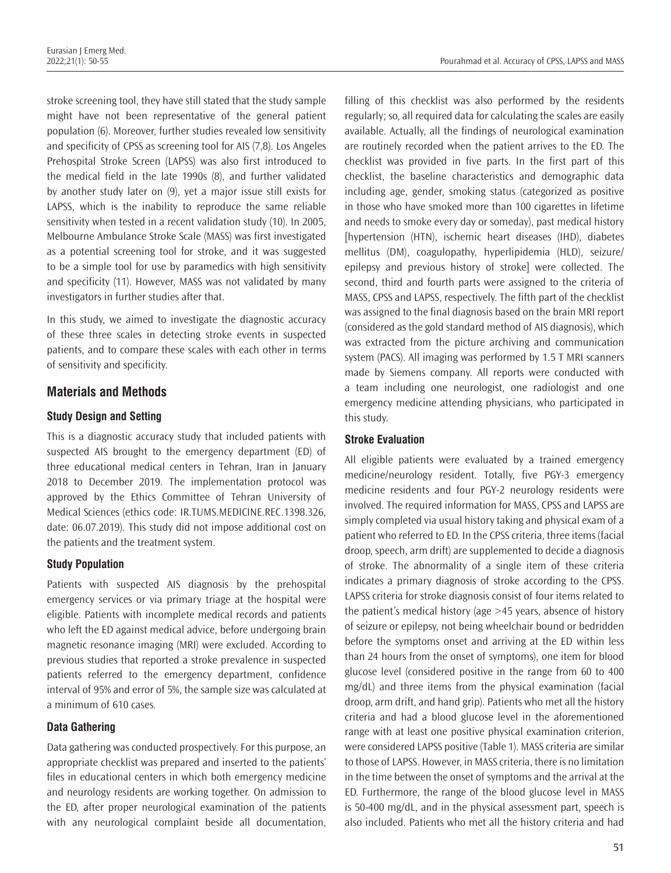stroke screening tool, they have still stated that the study sample might have not been representative of the general patient population (6). Moreover, further studies revealed low sensitivity and specificity of CPSS as screening tool for AIS (7,8). Los Angeles Prehospital Stroke Screen (LAPSS) was also first introduced to the medical field in the late 1990s (8), and further validated by another study later on (9), yet a major issue still exists for LAPSS, which is the inability to reproduce the same reliable sensitivity when tested in a recent validation study (10). In 2005, Melbourne Ambulance Stroke Scale (MASS) was first investigated as a potential screening tool for stroke, and it was suggested to be a simple tool for use by paramedics with high sensitivity and specificity (11). However, MASS was not validated by many investigators in further studies after that.

In this study, we aimed to investigate the diagnostic accuracy of these three scales in detecting stroke events in suspected patients, and to compare these scales with each other in terms of sensitivity and specificity.

# **Materials and Methods**

#### **Study Design and Setting**

This is a diagnostic accuracy study that included patients with suspected AIS brought to the emergency department (ED) of three educational medical centers in Tehran, Iran in January 2018 to December 2019. The implementation protocol was approved by the Ethics Committee of Tehran University of Medical Sciences (ethics code: IR.TUMS.MEDICINE.REC.1398.326, date: 06.07.2019). This study did not impose additional cost on the patients and the treatment system.

#### **Study Population**

Patients with suspected AIS diagnosis by the prehospital emergency services or via primary triage at the hospital were eligible. Patients with incomplete medical records and patients who left the ED against medical advice, before undergoing brain magnetic resonance imaging (MRI) were excluded. According to previous studies that reported a stroke prevalence in suspected patients referred to the emergency department, confidence interval of 95% and error of 5%, the sample size was calculated at a minimum of 610 cases.

# **Data Gathering**

Data gathering was conducted prospectively. For this purpose, an appropriate checklist was prepared and inserted to the patients' files in educational centers in which both emergency medicine and neurology residents are working together. On admission to the ED, after proper neurological examination of the patients with any neurological complaint beside all documentation, filling of this checklist was also performed by the residents regularly; so, all required data for calculating the scales are easily available. Actually, all the findings of neurological examination are routinely recorded when the patient arrives to the ED. The checklist was provided in five parts. In the first part of this checklist, the baseline characteristics and demographic data including age, gender, smoking status (categorized as positive in those who have smoked more than 100 cigarettes in lifetime and needs to smoke every day or someday), past medical history [hypertension (HTN), ischemic heart diseases (IHD), diabetes mellitus (DM), coagulopathy, hyperlipidemia (HLD), seizure/ epilepsy and previous history of stroke] were collected. The second, third and fourth parts were assigned to the criteria of MASS, CPSS and LAPSS, respectively. The fifth part of the checklist was assigned to the final diagnosis based on the brain MRI report (considered as the gold standard method of AIS diagnosis), which was extracted from the picture archiving and communication system (PACS). All imaging was performed by 1.5 T MRI scanners made by Siemens company. All reports were conducted with a team including one neurologist, one radiologist and one emergency medicine attending physicians, who participated in this study.

# **Stroke Evaluation**

All eligible patients were evaluated by a trained emergency medicine/neurology resident. Totally, five PGY-3 emergency medicine residents and four PGY-2 neurology residents were involved. The required information for MASS, CPSS and LAPSS are simply completed via usual history taking and physical exam of a patient who referred to ED. In the CPSS criteria, three items (facial droop, speech, arm drift) are supplemented to decide a diagnosis of stroke. The abnormality of a single item of these criteria indicates a primary diagnosis of stroke according to the CPSS. LAPSS criteria for stroke diagnosis consist of four items related to the patient's medical history (age >45 years, absence of history of seizure or epilepsy, not being wheelchair bound or bedridden before the symptoms onset and arriving at the ED within less than 24 hours from the onset of symptoms), one item for blood glucose level (considered positive in the range from 60 to 400 mg/dL) and three items from the physical examination (facial droop, arm drift, and hand grip). Patients who met all the history criteria and had a blood glucose level in the aforementioned range with at least one positive physical examination criterion, were considered LAPSS positive (Table 1). MASS criteria are similar to those of LAPSS. However, in MASS criteria, there is no limitation in the time between the onset of symptoms and the arrival at the ED. Furthermore, the range of the blood glucose level in MASS is 50-400 mg/dL, and in the physical assessment part, speech is also included. Patients who met all the history criteria and had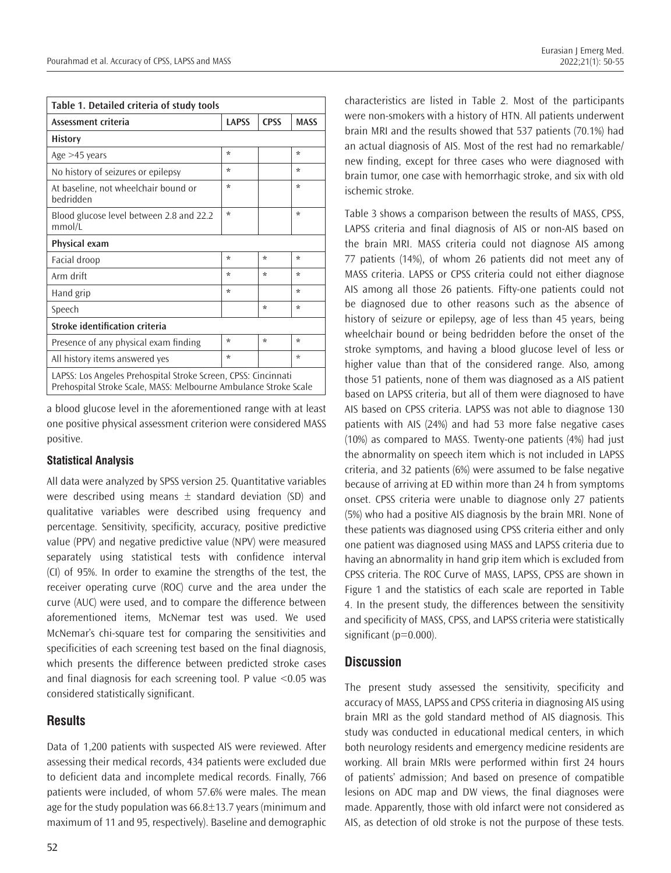| Table 1. Detailed criteria of study tools                                                                                          |              |             |             |
|------------------------------------------------------------------------------------------------------------------------------------|--------------|-------------|-------------|
| Assessment criteria                                                                                                                | <b>LAPSS</b> | <b>CPSS</b> | <b>MASS</b> |
| <b>History</b>                                                                                                                     |              |             |             |
| Age $>45$ years                                                                                                                    | $\star$      |             | $\star$     |
| No history of seizures or epilepsy                                                                                                 | ÷            |             | ÷           |
| At baseline, not wheelchair bound or<br>bedridden                                                                                  | ÷            |             | ÷           |
| Blood glucose level between 2.8 and 22.2<br>mmol/L                                                                                 | ÷            |             | ÷           |
| Physical exam                                                                                                                      |              |             |             |
| Facial droop                                                                                                                       | ÷            | ÷           | $\star$     |
| Arm drift                                                                                                                          | $\star$      | $\star$     | $\star$     |
| Hand grip                                                                                                                          | ÷            |             | ÷           |
| Speech                                                                                                                             |              | $\star$     | $\star$     |
| Stroke identification criteria                                                                                                     |              |             |             |
| Presence of any physical exam finding                                                                                              | ÷            | ÷           | $\star$     |
| All history items answered yes                                                                                                     | $\star$      |             | $\star$     |
| LAPSS: Los Angeles Prehospital Stroke Screen, CPSS: Cincinnati<br>Prehospital Stroke Scale, MASS: Melbourne Ambulance Stroke Scale |              |             |             |

a blood glucose level in the aforementioned range with at least one positive physical assessment criterion were considered MASS positive.

#### **Statistical Analysis**

All data were analyzed by SPSS version 25. Quantitative variables were described using means  $\pm$  standard deviation (SD) and qualitative variables were described using frequency and percentage. Sensitivity, specificity, accuracy, positive predictive value (PPV) and negative predictive value (NPV) were measured separately using statistical tests with confidence interval (CI) of 95%. In order to examine the strengths of the test, the receiver operating curve (ROC) curve and the area under the curve (AUC) were used, and to compare the difference between aforementioned items, McNemar test was used. We used McNemar's chi-square test for comparing the sensitivities and specificities of each screening test based on the final diagnosis, which presents the difference between predicted stroke cases and final diagnosis for each screening tool. P value <0.05 was considered statistically significant.

# **Results**

Data of 1,200 patients with suspected AIS were reviewed. After assessing their medical records, 434 patients were excluded due to deficient data and incomplete medical records. Finally, 766 patients were included, of whom 57.6% were males. The mean age for the study population was  $66.8\pm13.7$  years (minimum and maximum of 11 and 95, respectively). Baseline and demographic

characteristics are listed in Table 2. Most of the participants were non-smokers with a history of HTN. All patients underwent brain MRI and the results showed that 537 patients (70.1%) had an actual diagnosis of AIS. Most of the rest had no remarkable/ new finding, except for three cases who were diagnosed with brain tumor, one case with hemorrhagic stroke, and six with old ischemic stroke.

Table 3 shows a comparison between the results of MASS, CPSS, LAPSS criteria and final diagnosis of AIS or non-AIS based on the brain MRI. MASS criteria could not diagnose AIS among 77 patients (14%), of whom 26 patients did not meet any of MASS criteria. LAPSS or CPSS criteria could not either diagnose AIS among all those 26 patients. Fifty-one patients could not be diagnosed due to other reasons such as the absence of history of seizure or epilepsy, age of less than 45 years, being wheelchair bound or being bedridden before the onset of the stroke symptoms, and having a blood glucose level of less or higher value than that of the considered range. Also, among those 51 patients, none of them was diagnosed as a AIS patient based on LAPSS criteria, but all of them were diagnosed to have AIS based on CPSS criteria. LAPSS was not able to diagnose 130 patients with AIS (24%) and had 53 more false negative cases (10%) as compared to MASS. Twenty-one patients (4%) had just the abnormality on speech item which is not included in LAPSS criteria, and 32 patients (6%) were assumed to be false negative because of arriving at ED within more than 24 h from symptoms onset. CPSS criteria were unable to diagnose only 27 patients (5%) who had a positive AIS diagnosis by the brain MRI. None of these patients was diagnosed using CPSS criteria either and only one patient was diagnosed using MASS and LAPSS criteria due to having an abnormality in hand grip item which is excluded from CPSS criteria. The ROC Curve of MASS, LAPSS, CPSS are shown in Figure 1 and the statistics of each scale are reported in Table 4. In the present study, the differences between the sensitivity and specificity of MASS, CPSS, and LAPSS criteria were statistically significant (p=0.000).

# **Discussion**

The present study assessed the sensitivity, specificity and accuracy of MASS, LAPSS and CPSS criteria in diagnosing AIS using brain MRI as the gold standard method of AIS diagnosis. This study was conducted in educational medical centers, in which both neurology residents and emergency medicine residents are working. All brain MRIs were performed within first 24 hours of patients' admission; And based on presence of compatible lesions on ADC map and DW views, the final diagnoses were made. Apparently, those with old infarct were not considered as AIS, as detection of old stroke is not the purpose of these tests.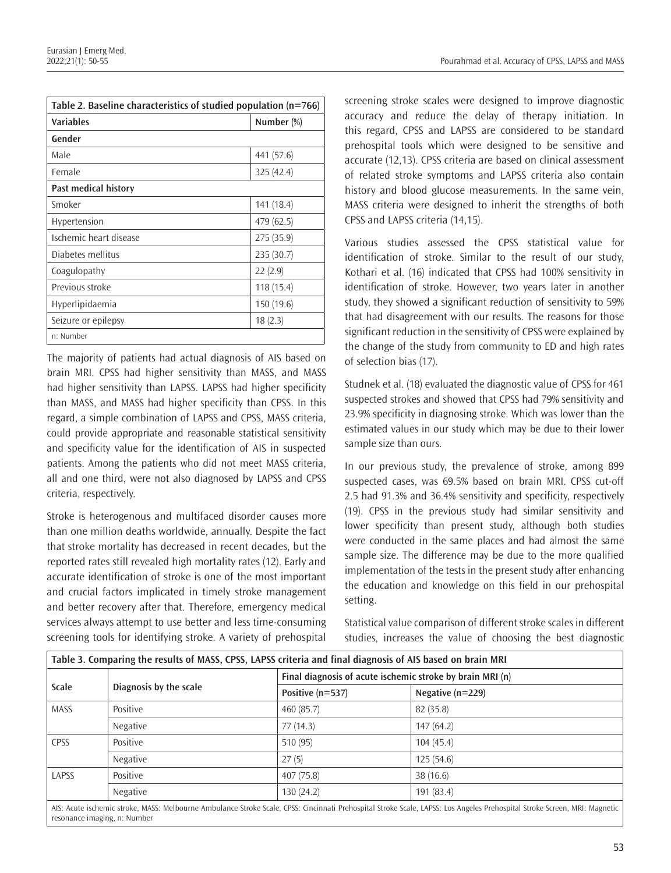| Table 2. Baseline characteristics of studied population $(n=766)$ |            |  |
|-------------------------------------------------------------------|------------|--|
| Variables                                                         | Number (%) |  |
| Gender                                                            |            |  |
| Male                                                              | 441 (57.6) |  |
| Female                                                            | 325(42.4)  |  |
| Past medical history                                              |            |  |
| Smoker                                                            | 141 (18.4) |  |
| Hypertension                                                      | 479 (62.5) |  |
| Ischemic heart disease                                            | 275 (35.9) |  |
| Diabetes mellitus                                                 | 235 (30.7) |  |
| Coagulopathy                                                      | 22(2.9)    |  |
| Previous stroke                                                   | 118(15.4)  |  |
| Hyperlipidaemia                                                   | 150(19.6)  |  |
| Seizure or epilepsy                                               | 18(2.3)    |  |
| n: Number                                                         |            |  |

The majority of patients had actual diagnosis of AIS based on brain MRI. CPSS had higher sensitivity than MASS, and MASS had higher sensitivity than LAPSS. LAPSS had higher specificity than MASS, and MASS had higher specificity than CPSS. In this regard, a simple combination of LAPSS and CPSS, MASS criteria, could provide appropriate and reasonable statistical sensitivity and specificity value for the identification of AIS in suspected patients. Among the patients who did not meet MASS criteria, all and one third, were not also diagnosed by LAPSS and CPSS criteria, respectively.

Stroke is heterogenous and multifaced disorder causes more than one million deaths worldwide, annually. Despite the fact that stroke mortality has decreased in recent decades, but the reported rates still revealed high mortality rates (12). Early and accurate identification of stroke is one of the most important and crucial factors implicated in timely stroke management and better recovery after that. Therefore, emergency medical services always attempt to use better and less time-consuming screening tools for identifying stroke. A variety of prehospital

screening stroke scales were designed to improve diagnostic accuracy and reduce the delay of therapy initiation. In this regard, CPSS and LAPSS are considered to be standard prehospital tools which were designed to be sensitive and accurate (12,13). CPSS criteria are based on clinical assessment of related stroke symptoms and LAPSS criteria also contain history and blood glucose measurements. In the same vein, MASS criteria were designed to inherit the strengths of both CPSS and LAPSS criteria (14,15).

Various studies assessed the CPSS statistical value for identification of stroke. Similar to the result of our study, Kothari et al. (16) indicated that CPSS had 100% sensitivity in identification of stroke. However, two years later in another study, they showed a significant reduction of sensitivity to 59% that had disagreement with our results. The reasons for those significant reduction in the sensitivity of CPSS were explained by the change of the study from community to ED and high rates of selection bias (17).

Studnek et al. (18) evaluated the diagnostic value of CPSS for 461 suspected strokes and showed that CPSS had 79% sensitivity and 23.9% specificity in diagnosing stroke. Which was lower than the estimated values in our study which may be due to their lower sample size than ours.

In our previous study, the prevalence of stroke, among 899 suspected cases, was 69.5% based on brain MRI. CPSS cut-off 2.5 had 91.3% and 36.4% sensitivity and specificity, respectively (19). CPSS in the previous study had similar sensitivity and lower specificity than present study, although both studies were conducted in the same places and had almost the same sample size. The difference may be due to the more qualified implementation of the tests in the present study after enhancing the education and knowledge on this field in our prehospital setting.

Statistical value comparison of different stroke scales in different studies, increases the value of choosing the best diagnostic

| Table 3. Comparing the results of MASS, CPSS, LAPSS criteria and final diagnosis of AIS based on brain MRI |                        |                  |                                                                                                                                                                            |  |  |
|------------------------------------------------------------------------------------------------------------|------------------------|------------------|----------------------------------------------------------------------------------------------------------------------------------------------------------------------------|--|--|
| <b>Scale</b>                                                                                               |                        |                  | Final diagnosis of acute ischemic stroke by brain MRI (n)                                                                                                                  |  |  |
|                                                                                                            | Diagnosis by the scale | Positive (n=537) | Negative (n=229)                                                                                                                                                           |  |  |
| <b>MASS</b>                                                                                                | Positive               | 460 (85.7)       | 82(35.8)                                                                                                                                                                   |  |  |
|                                                                                                            | Negative               | 77(14.3)         | 147(64.2)                                                                                                                                                                  |  |  |
| CPSS                                                                                                       | Positive               | 510 (95)         | 104(45.4)                                                                                                                                                                  |  |  |
|                                                                                                            | Negative               | 27(5)            | 125(54.6)                                                                                                                                                                  |  |  |
| LAPSS                                                                                                      | Positive               | 407(75.8)        | 38 (16.6)                                                                                                                                                                  |  |  |
|                                                                                                            | Negative               | 130(24.2)        | 191(83.4)                                                                                                                                                                  |  |  |
|                                                                                                            |                        |                  | AIS: Acute ischemic stroke, MASS: Melbourne Ambulance Stroke Scale, CPSS: Cincinnati Prehospital Stroke Scale, LAPSS: Los Angeles Prehospital Stroke Screen, MRI: Magnetic |  |  |

resonance imaging, n: Number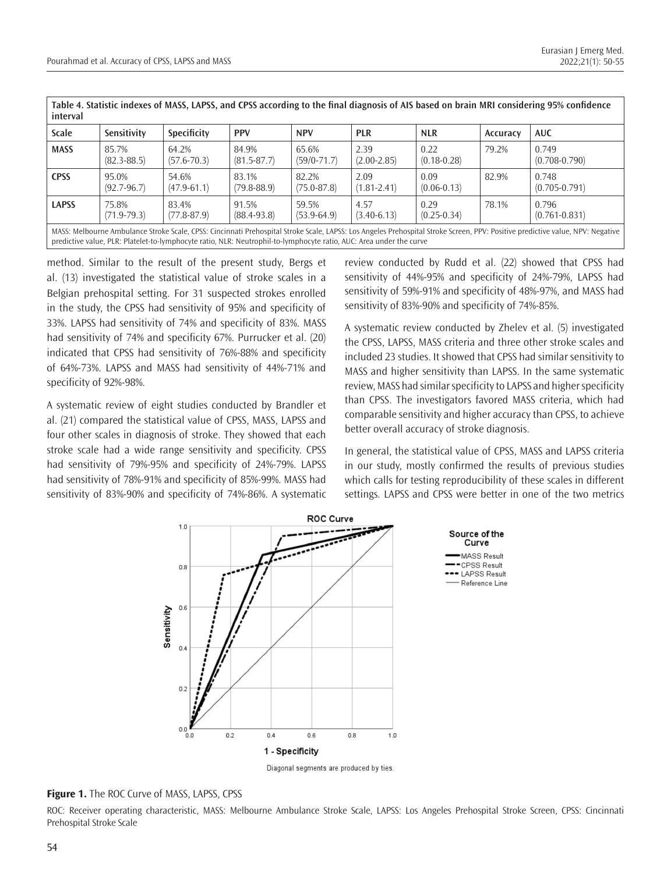| <b>Scale</b> | Sensitivity              | Specificity              | <b>PPV</b>               | <b>NPV</b>               | <b>PLR</b>              | <b>NLR</b>              | Accuracy | <b>AUC</b>                 |
|--------------|--------------------------|--------------------------|--------------------------|--------------------------|-------------------------|-------------------------|----------|----------------------------|
| <b>MASS</b>  | 85.7%<br>$(82.3 - 88.5)$ | 64.2%<br>$(57.6 - 70.3)$ | 84.9%<br>$(81.5 - 87.7)$ | 65.6%<br>$(59/0-71.7)$   | 2.39<br>$(2.00 - 2.85)$ | 0.22<br>$(0.18 - 0.28)$ | 79.2%    | 0.749<br>$(0.708 - 0.790)$ |
| <b>CPSS</b>  | 95.0%<br>$(92.7 - 96.7)$ | 54.6%<br>$(47.9 - 61.1)$ | 83.1%<br>$(79.8 - 88.9)$ | 82.2%<br>$(75.0 - 87.8)$ | 2.09<br>$(1.81 - 2.41)$ | 0.09<br>$(0.06 - 0.13)$ | 82.9%    | 0.748<br>$(0.705 - 0.791)$ |
| <b>LAPSS</b> | 75.8%<br>$(71.9 - 79.3)$ | 83.4%<br>$(77.8 - 87.9)$ | 91.5%<br>$(88.4 - 93.8)$ | 59.5%<br>$(53.9-64.9)$   | 4.57<br>$(3.40 - 6.13)$ | 0.29<br>$(0.25 - 0.34)$ | 78.1%    | 0.796<br>$(0.761 - 0.831)$ |

method. Similar to the result of the present study, Bergs et al. (13) investigated the statistical value of stroke scales in a Belgian prehospital setting. For 31 suspected strokes enrolled in the study, the CPSS had sensitivity of 95% and specificity of 33%. LAPSS had sensitivity of 74% and specificity of 83%. MASS had sensitivity of 74% and specificity 67%. Purrucker et al. (20) indicated that CPSS had sensitivity of 76%-88% and specificity of 64%-73%. LAPSS and MASS had sensitivity of 44%-71% and specificity of 92%-98%.

A systematic review of eight studies conducted by Brandler et al. (21) compared the statistical value of CPSS, MASS, LAPSS and four other scales in diagnosis of stroke. They showed that each stroke scale had a wide range sensitivity and specificity. CPSS had sensitivity of 79%-95% and specificity of 24%-79%. LAPSS had sensitivity of 78%-91% and specificity of 85%-99%. MASS had sensitivity of 83%-90% and specificity of 74%-86%. A systematic review conducted by Rudd et al. (22) showed that CPSS had sensitivity of 44%-95% and specificity of 24%-79%, LAPSS had sensitivity of 59%-91% and specificity of 48%-97%, and MASS had sensitivity of 83%-90% and specificity of 74%-85%.

A systematic review conducted by Zhelev et al. (5) investigated the CPSS, LAPSS, MASS criteria and three other stroke scales and included 23 studies. It showed that CPSS had similar sensitivity to MASS and higher sensitivity than LAPSS. In the same systematic review, MASS had similar specificity to LAPSS and higher specificity than CPSS. The investigators favored MASS criteria, which had comparable sensitivity and higher accuracy than CPSS, to achieve better overall accuracy of stroke diagnosis.

In general, the statistical value of CPSS, MASS and LAPSS criteria in our study, mostly confirmed the results of previous studies which calls for testing reproducibility of these scales in different settings. LAPSS and CPSS were better in one of the two metrics



Diagonal segments are produced by ties.

**Figure 1.** The ROC Curve of MASS, LAPSS, CPSS

ROC: Receiver operating characteristic, MASS: Melbourne Ambulance Stroke Scale, LAPSS: Los Angeles Prehospital Stroke Screen, CPSS: Cincinnati Prehospital Stroke Scale